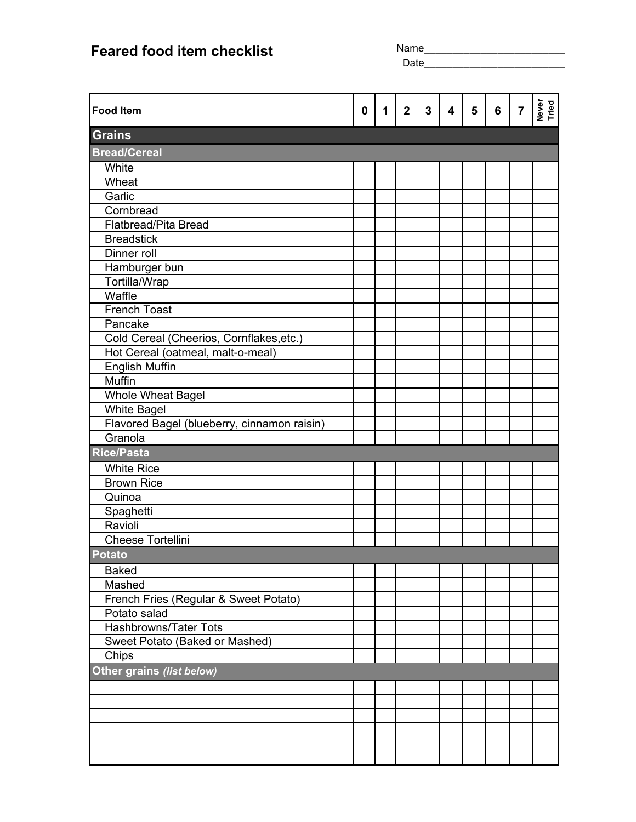|                                             |             | Name_____________<br><b>Date Date</b> |                |              |                         |   |   |                |                |
|---------------------------------------------|-------------|---------------------------------------|----------------|--------------|-------------------------|---|---|----------------|----------------|
|                                             |             |                                       |                |              |                         |   |   |                |                |
| <b>Food Item</b>                            | $\mathbf 0$ | 1                                     | $\overline{2}$ | $\mathbf{3}$ | $\overline{\mathbf{4}}$ | 5 | 6 | $\overline{7}$ | Never<br>Tried |
| <b>Grains</b>                               |             |                                       |                |              |                         |   |   |                |                |
| <b>Bread/Cereal</b>                         |             |                                       |                |              |                         |   |   |                |                |
| White                                       |             |                                       |                |              |                         |   |   |                |                |
| Wheat                                       |             |                                       |                |              |                         |   |   |                |                |
| Garlic                                      |             |                                       |                |              |                         |   |   |                |                |
| Cornbread                                   |             |                                       |                |              |                         |   |   |                |                |
| Flatbread/Pita Bread                        |             |                                       |                |              |                         |   |   |                |                |
| <b>Breadstick</b>                           |             |                                       |                |              |                         |   |   |                |                |
| Dinner roll                                 |             |                                       |                |              |                         |   |   |                |                |
| Hamburger bun                               |             |                                       |                |              |                         |   |   |                |                |
| Tortilla/Wrap                               |             |                                       |                |              |                         |   |   |                |                |
| Waffle                                      |             |                                       |                |              |                         |   |   |                |                |
| <b>French Toast</b>                         |             |                                       |                |              |                         |   |   |                |                |
| Pancake                                     |             |                                       |                |              |                         |   |   |                |                |
| Cold Cereal (Cheerios, Cornflakes, etc.)    |             |                                       |                |              |                         |   |   |                |                |
| Hot Cereal (oatmeal, malt-o-meal)           |             |                                       |                |              |                         |   |   |                |                |
| <b>English Muffin</b>                       |             |                                       |                |              |                         |   |   |                |                |
| Muffin                                      |             |                                       |                |              |                         |   |   |                |                |
| Whole Wheat Bagel                           |             |                                       |                |              |                         |   |   |                |                |
| <b>White Bagel</b>                          |             |                                       |                |              |                         |   |   |                |                |
| Flavored Bagel (blueberry, cinnamon raisin) |             |                                       |                |              |                         |   |   |                |                |
| Granola                                     |             |                                       |                |              |                         |   |   |                |                |
| <b>Rice/Pasta</b>                           |             |                                       |                |              |                         |   |   |                |                |
| <b>White Rice</b>                           |             |                                       |                |              |                         |   |   |                |                |
| <b>Brown Rice</b>                           |             |                                       |                |              |                         |   |   |                |                |
| Quinoa                                      |             |                                       |                |              |                         |   |   |                |                |
| Spaghetti                                   |             |                                       |                |              |                         |   |   |                |                |
| Ravioli                                     |             |                                       |                |              |                         |   |   |                |                |
| <b>Cheese Tortellini</b>                    |             |                                       |                |              |                         |   |   |                |                |
| <b>Potato</b>                               |             |                                       |                |              |                         |   |   |                |                |
| <b>Baked</b>                                |             |                                       |                |              |                         |   |   |                |                |
| Mashed                                      |             |                                       |                |              |                         |   |   |                |                |
| French Fries (Regular & Sweet Potato)       |             |                                       |                |              |                         |   |   |                |                |
| Potato salad                                |             |                                       |                |              |                         |   |   |                |                |
| Hashbrowns/Tater Tots                       |             |                                       |                |              |                         |   |   |                |                |
| Sweet Potato (Baked or Mashed)              |             |                                       |                |              |                         |   |   |                |                |
| Chips                                       |             |                                       |                |              |                         |   |   |                |                |
| Other grains (list below)                   |             |                                       |                |              |                         |   |   |                |                |
|                                             |             |                                       |                |              |                         |   |   |                |                |
|                                             |             |                                       |                |              |                         |   |   |                |                |
|                                             |             |                                       |                |              |                         |   |   |                |                |
|                                             |             |                                       |                |              |                         |   |   |                |                |
|                                             |             |                                       |                |              |                         |   |   |                |                |
|                                             |             |                                       |                |              |                         |   |   |                |                |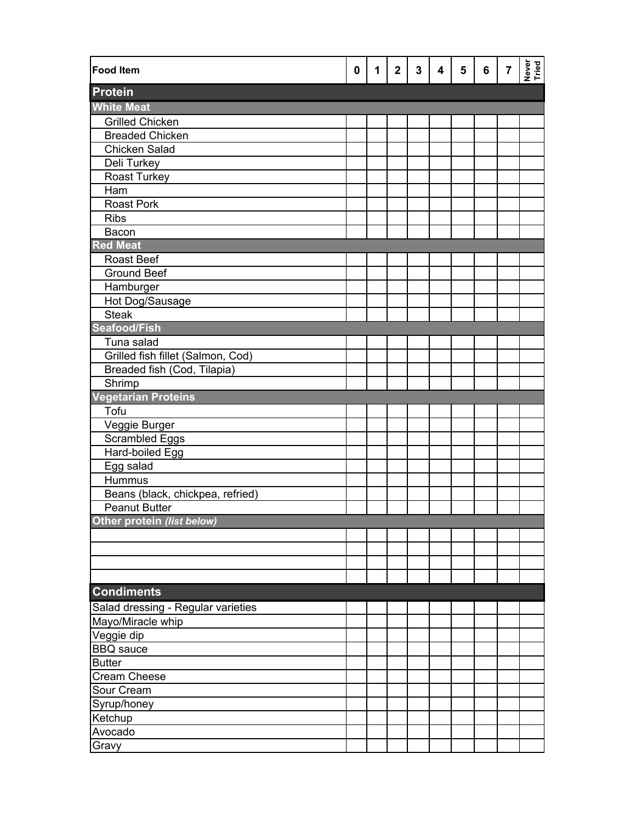| <b>Food Item</b>                   | 0 | 1 | $\overline{2}$ | 3 | 4 | 5 | 6 | $\overline{\mathbf{7}}$ | Never<br>Tried |
|------------------------------------|---|---|----------------|---|---|---|---|-------------------------|----------------|
| <b>Protein</b>                     |   |   |                |   |   |   |   |                         |                |
| <b>White Meat</b>                  |   |   |                |   |   |   |   |                         |                |
| <b>Grilled Chicken</b>             |   |   |                |   |   |   |   |                         |                |
| <b>Breaded Chicken</b>             |   |   |                |   |   |   |   |                         |                |
| <b>Chicken Salad</b>               |   |   |                |   |   |   |   |                         |                |
| Deli Turkey                        |   |   |                |   |   |   |   |                         |                |
| <b>Roast Turkey</b>                |   |   |                |   |   |   |   |                         |                |
| Ham                                |   |   |                |   |   |   |   |                         |                |
| Roast Pork                         |   |   |                |   |   |   |   |                         |                |
| <b>Ribs</b>                        |   |   |                |   |   |   |   |                         |                |
| Bacon                              |   |   |                |   |   |   |   |                         |                |
| <b>Red Meat</b>                    |   |   |                |   |   |   |   |                         |                |
| <b>Roast Beef</b>                  |   |   |                |   |   |   |   |                         |                |
| <b>Ground Beef</b>                 |   |   |                |   |   |   |   |                         |                |
| Hamburger                          |   |   |                |   |   |   |   |                         |                |
| Hot Dog/Sausage                    |   |   |                |   |   |   |   |                         |                |
| <b>Steak</b>                       |   |   |                |   |   |   |   |                         |                |
| <b>Seafood/Fish</b>                |   |   |                |   |   |   |   |                         |                |
| Tuna salad                         |   |   |                |   |   |   |   |                         |                |
| Grilled fish fillet (Salmon, Cod)  |   |   |                |   |   |   |   |                         |                |
| Breaded fish (Cod, Tilapia)        |   |   |                |   |   |   |   |                         |                |
| Shrimp                             |   |   |                |   |   |   |   |                         |                |
| <b>Vegetarian Proteins</b>         |   |   |                |   |   |   |   |                         |                |
| Tofu                               |   |   |                |   |   |   |   |                         |                |
| Veggie Burger                      |   |   |                |   |   |   |   |                         |                |
| <b>Scrambled Eggs</b>              |   |   |                |   |   |   |   |                         |                |
| <b>Hard-boiled Egg</b>             |   |   |                |   |   |   |   |                         |                |
| Egg salad                          |   |   |                |   |   |   |   |                         |                |
| <b>Hummus</b>                      |   |   |                |   |   |   |   |                         |                |
| Beans (black, chickpea, refried)   |   |   |                |   |   |   |   |                         |                |
| <b>Peanut Butter</b>               |   |   |                |   |   |   |   |                         |                |
| Other protein (list below)         |   |   |                |   |   |   |   |                         |                |
|                                    |   |   |                |   |   |   |   |                         |                |
|                                    |   |   |                |   |   |   |   |                         |                |
|                                    |   |   |                |   |   |   |   |                         |                |
|                                    |   |   |                |   |   |   |   |                         |                |
| <b>Condiments</b>                  |   |   |                |   |   |   |   |                         |                |
| Salad dressing - Regular varieties |   |   |                |   |   |   |   |                         |                |
| Mayo/Miracle whip                  |   |   |                |   |   |   |   |                         |                |
| Veggie dip                         |   |   |                |   |   |   |   |                         |                |
| <b>BBQ</b> sauce                   |   |   |                |   |   |   |   |                         |                |
| <b>Butter</b>                      |   |   |                |   |   |   |   |                         |                |
| <b>Cream Cheese</b>                |   |   |                |   |   |   |   |                         |                |
| Sour Cream                         |   |   |                |   |   |   |   |                         |                |
| Syrup/honey                        |   |   |                |   |   |   |   |                         |                |
| Ketchup                            |   |   |                |   |   |   |   |                         |                |
| Avocado                            |   |   |                |   |   |   |   |                         |                |
| Gravy                              |   |   |                |   |   |   |   |                         |                |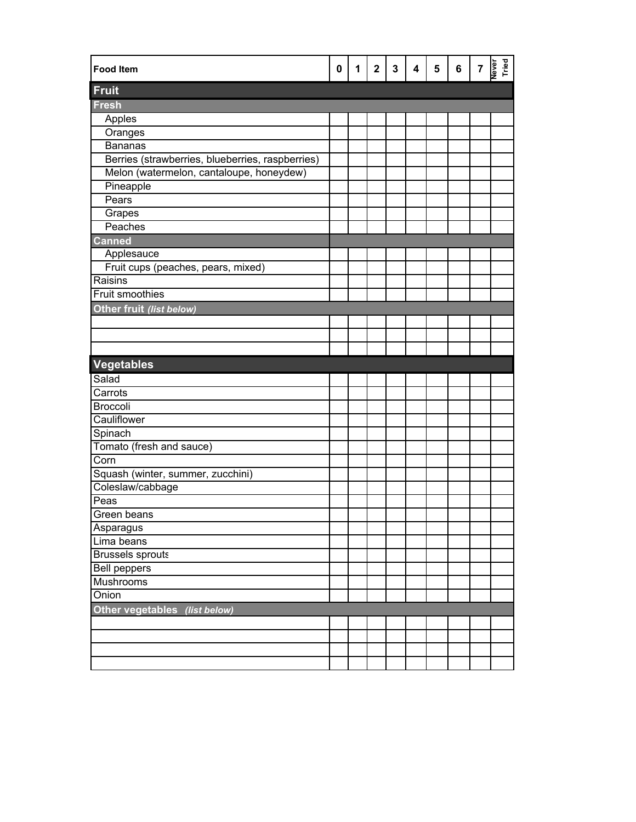| <b>Food Item</b>                                 | 0 | 1 | $\mathbf{2}$ | $\mathbf{3}$ | 4 | $5\phantom{1}$ | 6 | $\overline{7}$ | Never<br>Tried |
|--------------------------------------------------|---|---|--------------|--------------|---|----------------|---|----------------|----------------|
| Fruit                                            |   |   |              |              |   |                |   |                |                |
| <b>Fresh</b>                                     |   |   |              |              |   |                |   |                |                |
| Apples                                           |   |   |              |              |   |                |   |                |                |
| Oranges                                          |   |   |              |              |   |                |   |                |                |
| <b>Bananas</b>                                   |   |   |              |              |   |                |   |                |                |
| Berries (strawberries, blueberries, raspberries) |   |   |              |              |   |                |   |                |                |
| Melon (watermelon, cantaloupe, honeydew)         |   |   |              |              |   |                |   |                |                |
| Pineapple                                        |   |   |              |              |   |                |   |                |                |
| Pears                                            |   |   |              |              |   |                |   |                |                |
| Grapes                                           |   |   |              |              |   |                |   |                |                |
| Peaches                                          |   |   |              |              |   |                |   |                |                |
| <b>Canned</b>                                    |   |   |              |              |   |                |   |                |                |
| Applesauce                                       |   |   |              |              |   |                |   |                |                |
| Fruit cups (peaches, pears, mixed)               |   |   |              |              |   |                |   |                |                |
| Raisins                                          |   |   |              |              |   |                |   |                |                |
| <b>Fruit smoothies</b>                           |   |   |              |              |   |                |   |                |                |
| Other fruit (list below)                         |   |   |              |              |   |                |   |                |                |
|                                                  |   |   |              |              |   |                |   |                |                |
|                                                  |   |   |              |              |   |                |   |                |                |
|                                                  |   |   |              |              |   |                |   |                |                |
| <b>Vegetables</b>                                |   |   |              |              |   |                |   |                |                |
| Salad                                            |   |   |              |              |   |                |   |                |                |
| Carrots                                          |   |   |              |              |   |                |   |                |                |
| <b>Broccoli</b>                                  |   |   |              |              |   |                |   |                |                |
| Cauliflower                                      |   |   |              |              |   |                |   |                |                |
| Spinach                                          |   |   |              |              |   |                |   |                |                |
| Tomato (fresh and sauce)                         |   |   |              |              |   |                |   |                |                |
| Corn                                             |   |   |              |              |   |                |   |                |                |
| Squash (winter, summer, zucchini)                |   |   |              |              |   |                |   |                |                |
| Coleslaw/cabbage                                 |   |   |              |              |   |                |   |                |                |
| Peas                                             |   |   |              |              |   |                |   |                |                |
| Green beans                                      |   |   |              |              |   |                |   |                |                |
| Asparagus                                        |   |   |              |              |   |                |   |                |                |
| Lima beans                                       |   |   |              |              |   |                |   |                |                |
| <b>Brussels sprouts</b>                          |   |   |              |              |   |                |   |                |                |
| <b>Bell peppers</b>                              |   |   |              |              |   |                |   |                |                |
| <b>Mushrooms</b>                                 |   |   |              |              |   |                |   |                |                |
| Onion                                            |   |   |              |              |   |                |   |                |                |
| Other vegetables (list below)                    |   |   |              |              |   |                |   |                |                |
|                                                  |   |   |              |              |   |                |   |                |                |
|                                                  |   |   |              |              |   |                |   |                |                |
|                                                  |   |   |              |              |   |                |   |                |                |
|                                                  |   |   |              |              |   |                |   |                |                |
|                                                  |   |   |              |              |   |                |   |                |                |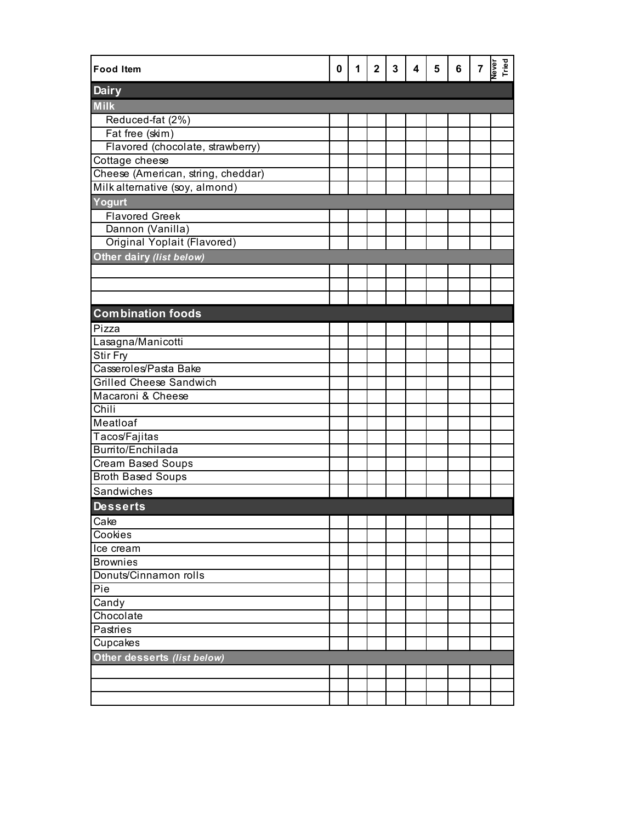| <b>Food Item</b>                   | 0 | 1 | $\mathbf{2}$ | 3 | 4 | 5 | 6 | $\overline{7}$ | Never<br>Tried |
|------------------------------------|---|---|--------------|---|---|---|---|----------------|----------------|
| <b>Dairy</b>                       |   |   |              |   |   |   |   |                |                |
| <b>Milk</b>                        |   |   |              |   |   |   |   |                |                |
| Reduced-fat (2%)                   |   |   |              |   |   |   |   |                |                |
| Fat free (skim)                    |   |   |              |   |   |   |   |                |                |
| Flavored (chocolate, strawberry)   |   |   |              |   |   |   |   |                |                |
| Cottage cheese                     |   |   |              |   |   |   |   |                |                |
| Cheese (American, string, cheddar) |   |   |              |   |   |   |   |                |                |
| Milk alternative (soy, almond)     |   |   |              |   |   |   |   |                |                |
| Yogurt                             |   |   |              |   |   |   |   |                |                |
| <b>Flavored Greek</b>              |   |   |              |   |   |   |   |                |                |
| Dannon (Vanilla)                   |   |   |              |   |   |   |   |                |                |
| Original Yoplait (Flavored)        |   |   |              |   |   |   |   |                |                |
| Other dairy (list below)           |   |   |              |   |   |   |   |                |                |
|                                    |   |   |              |   |   |   |   |                |                |
|                                    |   |   |              |   |   |   |   |                |                |
|                                    |   |   |              |   |   |   |   |                |                |
| <b>Combination foods</b>           |   |   |              |   |   |   |   |                |                |
| Pizza                              |   |   |              |   |   |   |   |                |                |
| Lasagna/Manicotti                  |   |   |              |   |   |   |   |                |                |
| <b>Stir Fry</b>                    |   |   |              |   |   |   |   |                |                |
| Casseroles/Pasta Bake              |   |   |              |   |   |   |   |                |                |
| <b>Grilled Cheese Sandwich</b>     |   |   |              |   |   |   |   |                |                |
| Macaroni & Cheese                  |   |   |              |   |   |   |   |                |                |
| Chili                              |   |   |              |   |   |   |   |                |                |
| Meatloaf                           |   |   |              |   |   |   |   |                |                |
| Tacos/Fajitas                      |   |   |              |   |   |   |   |                |                |
| Burrito/Enchilada                  |   |   |              |   |   |   |   |                |                |
| Cream Based Soups                  |   |   |              |   |   |   |   |                |                |
| <b>Broth Based Soups</b>           |   |   |              |   |   |   |   |                |                |
| Sandwiches                         |   |   |              |   |   |   |   |                |                |
| <b>Desserts</b>                    |   |   |              |   |   |   |   |                |                |
| Cake                               |   |   |              |   |   |   |   |                |                |
| Cookies                            |   |   |              |   |   |   |   |                |                |
| Ice cream                          |   |   |              |   |   |   |   |                |                |
| <b>Brownies</b>                    |   |   |              |   |   |   |   |                |                |
| Donuts/Cinnamon rolls              |   |   |              |   |   |   |   |                |                |
| Pie                                |   |   |              |   |   |   |   |                |                |
| Candy                              |   |   |              |   |   |   |   |                |                |
| Chocolate                          |   |   |              |   |   |   |   |                |                |
| Pastries                           |   |   |              |   |   |   |   |                |                |
| Cupcakes                           |   |   |              |   |   |   |   |                |                |
| Other desserts (list below)        |   |   |              |   |   |   |   |                |                |
|                                    |   |   |              |   |   |   |   |                |                |
|                                    |   |   |              |   |   |   |   |                |                |
|                                    |   |   |              |   |   |   |   |                |                |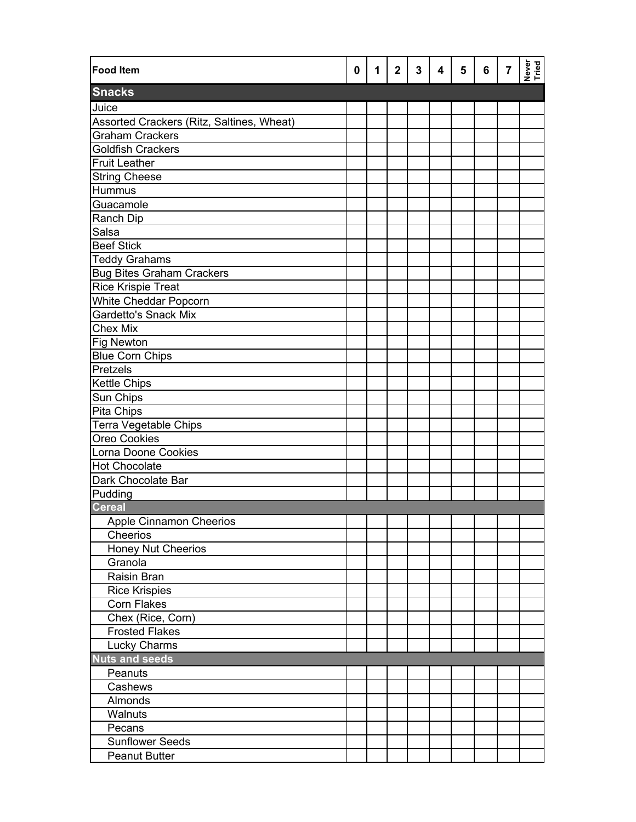| <b>Food Item</b>                          | 0 | 1 | $\overline{2}$ | $\mathbf{3}$ | 4 | 5 | 6 | $\overline{7}$ | Never<br>Tried |
|-------------------------------------------|---|---|----------------|--------------|---|---|---|----------------|----------------|
| <b>Snacks</b>                             |   |   |                |              |   |   |   |                |                |
| Juice                                     |   |   |                |              |   |   |   |                |                |
| Assorted Crackers (Ritz, Saltines, Wheat) |   |   |                |              |   |   |   |                |                |
| Graham Crackers                           |   |   |                |              |   |   |   |                |                |
| <b>Goldfish Crackers</b>                  |   |   |                |              |   |   |   |                |                |
| <b>Fruit Leather</b>                      |   |   |                |              |   |   |   |                |                |
| <b>String Cheese</b>                      |   |   |                |              |   |   |   |                |                |
| Hummus                                    |   |   |                |              |   |   |   |                |                |
| Guacamole                                 |   |   |                |              |   |   |   |                |                |
| Ranch Dip                                 |   |   |                |              |   |   |   |                |                |
| Salsa                                     |   |   |                |              |   |   |   |                |                |
| <b>Beef Stick</b>                         |   |   |                |              |   |   |   |                |                |
| <b>Teddy Grahams</b>                      |   |   |                |              |   |   |   |                |                |
| <b>Bug Bites Graham Crackers</b>          |   |   |                |              |   |   |   |                |                |
| <b>Rice Krispie Treat</b>                 |   |   |                |              |   |   |   |                |                |
| White Cheddar Popcorn                     |   |   |                |              |   |   |   |                |                |
| <b>Gardetto's Snack Mix</b>               |   |   |                |              |   |   |   |                |                |
| <b>Chex Mix</b>                           |   |   |                |              |   |   |   |                |                |
| <b>Fig Newton</b>                         |   |   |                |              |   |   |   |                |                |
| <b>Blue Corn Chips</b>                    |   |   |                |              |   |   |   |                |                |
| <b>Pretzels</b>                           |   |   |                |              |   |   |   |                |                |
| <b>Kettle Chips</b>                       |   |   |                |              |   |   |   |                |                |
| Sun Chips                                 |   |   |                |              |   |   |   |                |                |
| Pita Chips                                |   |   |                |              |   |   |   |                |                |
| Terra Vegetable Chips                     |   |   |                |              |   |   |   |                |                |
| Oreo Cookies                              |   |   |                |              |   |   |   |                |                |
| Lorna Doone Cookies                       |   |   |                |              |   |   |   |                |                |
| <b>Hot Chocolate</b>                      |   |   |                |              |   |   |   |                |                |
| Dark Chocolate Bar                        |   |   |                |              |   |   |   |                |                |
| Pudding                                   |   |   |                |              |   |   |   |                |                |
| <b>Cereal</b>                             |   |   |                |              |   |   |   |                |                |
| <b>Apple Cinnamon Cheerios</b>            |   |   |                |              |   |   |   |                |                |
| Cheerios                                  |   |   |                |              |   |   |   |                |                |
| Honey Nut Cheerios                        |   |   |                |              |   |   |   |                |                |
| Granola                                   |   |   |                |              |   |   |   |                |                |
| Raisin Bran                               |   |   |                |              |   |   |   |                |                |
| <b>Rice Krispies</b>                      |   |   |                |              |   |   |   |                |                |
| <b>Corn Flakes</b>                        |   |   |                |              |   |   |   |                |                |
| Chex (Rice, Corn)                         |   |   |                |              |   |   |   |                |                |
| <b>Frosted Flakes</b>                     |   |   |                |              |   |   |   |                |                |
| Lucky Charms                              |   |   |                |              |   |   |   |                |                |
| <b>Nuts and seeds</b>                     |   |   |                |              |   |   |   |                |                |
| Peanuts                                   |   |   |                |              |   |   |   |                |                |
| Cashews                                   |   |   |                |              |   |   |   |                |                |
| Almonds                                   |   |   |                |              |   |   |   |                |                |
| Walnuts                                   |   |   |                |              |   |   |   |                |                |
| Pecans                                    |   |   |                |              |   |   |   |                |                |
| Sunflower Seeds                           |   |   |                |              |   |   |   |                |                |
| <b>Peanut Butter</b>                      |   |   |                |              |   |   |   |                |                |